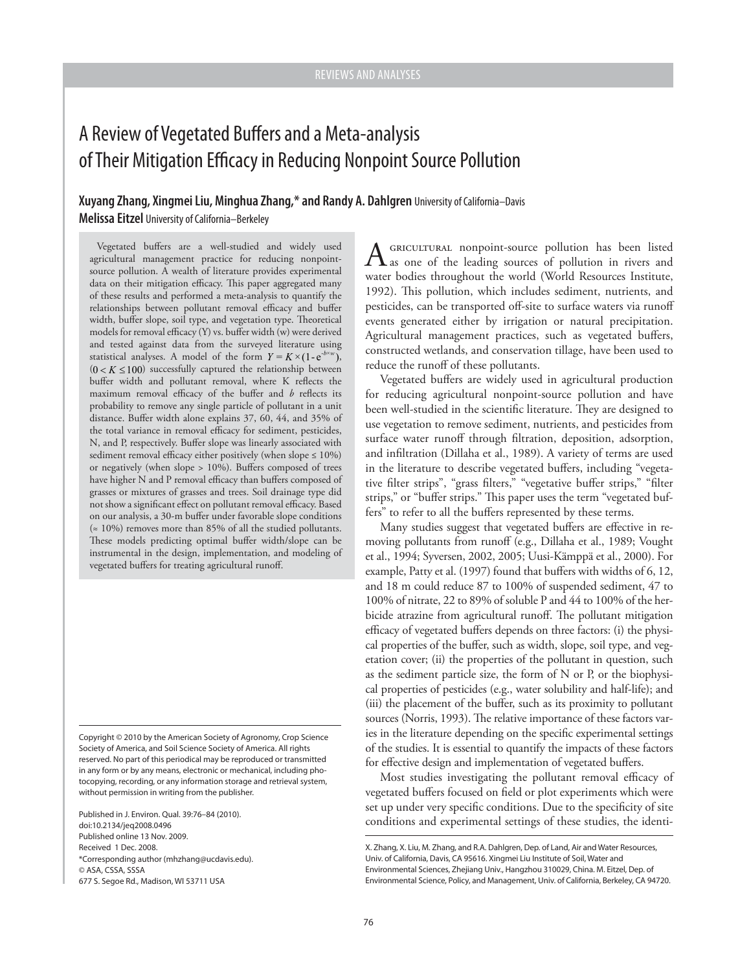# A Review of Vegetated Buffers and a Meta-analysis of Their Mitigation Efficacy in Reducing Nonpoint Source Pollution

**Xuyang Zhang, Xingmei Liu, Minghua Zhang,\* and Randy A. Dahlgren** University of California–Davis **Melissa Eitzel** University of California–Berkeley

Vegetated buffers are a well-studied and widely used agricultural management practice for reducing nonpointsource pollution. A wealth of literature provides experimental data on their mitigation efficacy. This paper aggregated many of these results and performed a meta-analysis to quantify the relationships between pollutant removal efficacy and buffer width, buffer slope, soil type, and vegetation type. Theoretical models for removal efficacy  $(Y)$  vs. buffer width  $(w)$  were derived and tested against data from the surveyed literature using statistical analyses. A model of the form  $Y = K \times (1 - e^{-b \times w})$ ,  $(0 < K \le 100)$  successfully captured the relationship between buffer width and pollutant removal, where K reflects the maximum removal efficacy of the buffer and *b* reflects its probability to remove any single particle of pollutant in a unit distance. Buffer width alone explains 37, 60, 44, and 35% of the total variance in removal efficacy for sediment, pesticides, N, and P, respectively. Buffer slope was linearly associated with sediment removal efficacy either positively (when slope  $\leq 10\%$ ) or negatively (when slope  $> 10\%$ ). Buffers composed of trees have higher N and P removal efficacy than buffers composed of grasses or mixtures of grasses and trees. Soil drainage type did not show a significant effect on pollutant removal efficacy. Based on our analysis, a 30-m buffer under favorable slope conditions (≈ 10%) removes more than 85% of all the studied pollutants. These models predicting optimal buffer width/slope can be instrumental in the design, implementation, and modeling of vegetated buffers for treating agricultural runoff.

Copyright © 2010 by the American Society of Agronomy, Crop Science Society of America, and Soil Science Society of America. All rights reserved. No part of this periodical may be reproduced or transmitted in any form or by any means, electronic or mechanical, including photocopying, recording, or any information storage and retrieval system, without permission in writing from the publisher.

Published in J. Environ. Qual. 39:76–84 (2010). doi:10.2134/jeq2008.0496 Published online 13 Nov. 2009. Received 1 Dec. 2008. \*Corresponding author (mhzhang@ucdavis.edu). © ASA, CSSA, SSSA 677 S. Segoe Rd., Madison, WI 53711 USA

A GRICULTURAL nonpoint-source pollution has been listed as one of the leading sources of pollution in rivers and water bodies throughout the world (World Resources Institute, 1992). This pollution, which includes sediment, nutrients, and pesticides, can be transported off-site to surface waters via runoff events generated either by irrigation or natural precipitation. Agricultural management practices, such as vegetated buffers, constructed wetlands, and conservation tillage, have been used to reduce the runoff of these pollutants.

Vegetated buffers are widely used in agricultural production for reducing agricultural nonpoint-source pollution and have been well-studied in the scientific literature. They are designed to use vegetation to remove sediment, nutrients, and pesticides from surface water runoff through filtration, deposition, adsorption, and infiltration (Dillaha et al., 1989). A variety of terms are used in the literature to describe vegetated buffers, including "vegetative filter strips", "grass filters," "vegetative buffer strips," "filter strips," or "buffer strips." This paper uses the term "vegetated buffers" to refer to all the buffers represented by these terms.

Many studies suggest that vegetated buffers are effective in removing pollutants from runoff (e.g., Dillaha et al., 1989; Vought et al., 1994; Syversen, 2002, 2005; Uusi-Kämppä et al., 2000). For example, Patty et al. (1997) found that buffers with widths of 6, 12, and 18 m could reduce 87 to 100% of suspended sediment, 47 to 100% of nitrate, 22 to 89% of soluble P and 44 to 100% of the herbicide atrazine from agricultural runoff. The pollutant mitigation efficacy of vegetated buffers depends on three factors: (i) the physical properties of the buffer, such as width, slope, soil type, and vegetation cover; (ii) the properties of the pollutant in question, such as the sediment particle size, the form of N or P, or the biophysical properties of pesticides (e.g., water solubility and half-life); and (iii) the placement of the buffer, such as its proximity to pollutant sources (Norris, 1993). The relative importance of these factors varies in the literature depending on the specific experimental settings of the studies. It is essential to quantify the impacts of these factors for effective design and implementation of vegetated buffers.

Most studies investigating the pollutant removal efficacy of vegetated buffers focused on field or plot experiments which were set up under very specific conditions. Due to the specificity of site conditions and experimental settings of these studies, the identi-

X. Zhang, X. Liu, M. Zhang, and R.A. Dahlgren, Dep. of Land, Air and Water Resources, Univ. of California, Davis, CA 95616. Xingmei Liu Institute of Soil, Water and Environmental Sciences, Zhejiang Univ., Hangzhou 310029, China. M. Eitzel, Dep. of Environmental Science, Policy, and Management, Univ. of California, Berkeley, CA 94720.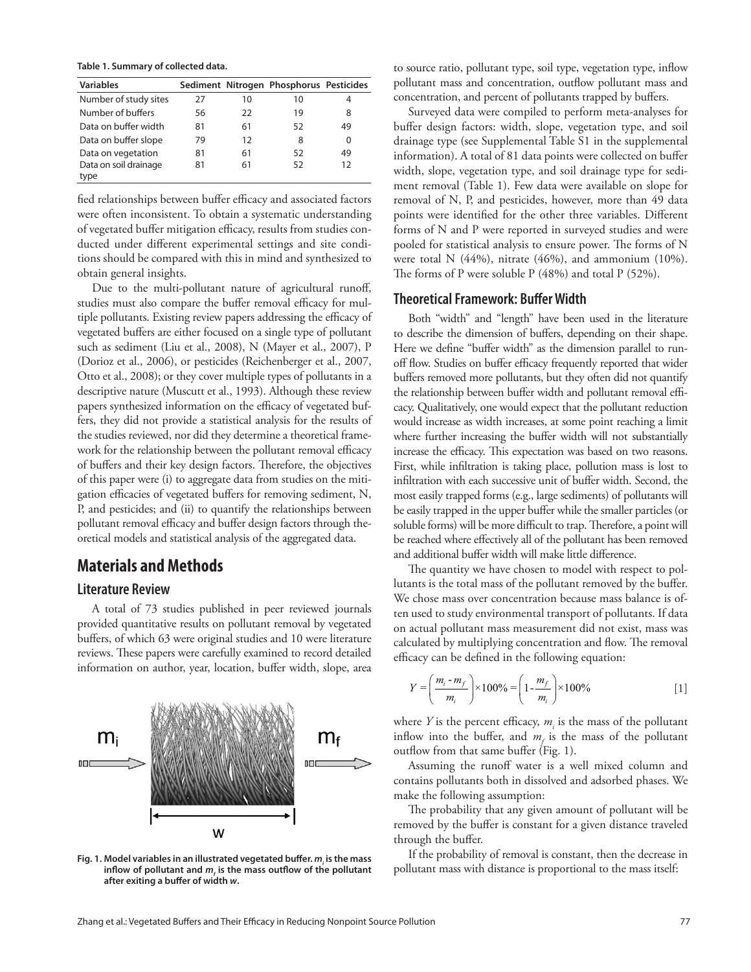**Table 1. Summary of collected data.**

| <b>Variables</b>      |    |    | Sediment Nitrogen Phosphorus Pesticides |    |
|-----------------------|----|----|-----------------------------------------|----|
| Number of study sites | 27 | 10 | 10                                      | 4  |
| Number of buffers     | 56 | 22 | 19                                      | 8  |
| Data on buffer width  | 81 | 61 | 52                                      | 49 |
| Data on buffer slope  | 79 | 12 | 8                                       | 0  |
| Data on vegetation    | 81 | 61 | 52                                      | 49 |
| Data on soil drainage | 81 | 61 | 52                                      | 12 |
| type                  |    |    |                                         |    |

fied relationships between buffer efficacy and associated factors were often inconsistent. To obtain a systematic understanding of vegetated buffer mitigation efficacy, results from studies conducted under different experimental settings and site conditions should be compared with this in mind and synthesized to obtain general insights.

Due to the multi-pollutant nature of agricultural runoff, studies must also compare the buffer removal efficacy for multiple pollutants. Existing review papers addressing the efficacy of vegetated buffers are either focused on a single type of pollutant such as sediment (Liu et al., 2008), N (Mayer et al., 2007), P (Dorioz et al., 2006), or pesticides (Reichenberger et al., 2007, Otto et al., 2008); or they cover multiple types of pollutants in a descriptive nature (Muscutt et al., 1993). Although these review papers synthesized information on the efficacy of vegetated buffers, they did not provide a statistical analysis for the results of the studies reviewed, nor did they determine a theoretical framework for the relationship between the pollutant removal efficacy of buffers and their key design factors. Therefore, the objectives of this paper were (i) to aggregate data from studies on the mitigation efficacies of vegetated buffers for removing sediment, N, P, and pesticides; and (ii) to quantify the relationships between pollutant removal efficacy and buffer design factors through theoretical models and statistical analysis of the aggregated data.

## **Materials and Methods**

## **Literature Review**

A total of 73 studies published in peer reviewed journals provided quantitative results on pollutant removal by vegetated buffers, of which 63 were original studies and 10 were literature reviews. These papers were carefully examined to record detailed information on author, year, location, buffer width, slope, area



Fig. 1. Model variables in an illustrated vegetated buffer.  $m<sub>i</sub>$  is the mass inflow of pollutant and  $m_f$  is the mass outflow of the pollutant after exiting a buffer of width  $w$ .

to source ratio, pollutant type, soil type, vegetation type, inflow pollutant mass and concentration, outflow pollutant mass and concentration, and percent of pollutants trapped by buffers.

Surveyed data were compiled to perform meta-analyses for buffer design factors: width, slope, vegetation type, and soil drainage type (see Supplemental Table S1 in the supplemental information). A total of 81 data points were collected on buffer width, slope, vegetation type, and soil drainage type for sediment removal (Table 1). Few data were available on slope for removal of N, P, and pesticides, however, more than 49 data points were identified for the other three variables. Different forms of N and P were reported in surveyed studies and were pooled for statistical analysis to ensure power. The forms of N were total N  $(44\%)$ , nitrate  $(46\%)$ , and ammonium  $(10\%)$ . The forms of P were soluble  $P$  (48%) and total  $P$  (52%).

#### **Theoretical Framework: Buffer Width**

Both "width" and "length" have been used in the literature to describe the dimension of buffers, depending on their shape. Here we define "buffer width" as the dimension parallel to runoff flow. Studies on buffer efficacy frequently reported that wider buffers removed more pollutants, but they often did not quantify the relationship between buffer width and pollutant removal efficacy. Qualitatively, one would expect that the pollutant reduction would increase as width increases, at some point reaching a limit where further increasing the buffer width will not substantially increase the efficacy. This expectation was based on two reasons. First, while infiltration is taking place, pollution mass is lost to infiltration with each successive unit of buffer width. Second, the most easily trapped forms (e.g., large sediments) of pollutants will be easily trapped in the upper buffer while the smaller particles (or soluble forms) will be more difficult to trap. Therefore, a point will be reached where effectively all of the pollutant has been removed and additional buffer width will make little difference.

The quantity we have chosen to model with respect to pollutants is the total mass of the pollutant removed by the buffer. We chose mass over concentration because mass balance is often used to study environmental transport of pollutants. If data on actual pollutant mass measurement did not exist, mass was calculated by multiplying concentration and flow. The removal efficacy can be defined in the following equation:

$$
Y = \left(\frac{m_i - m_f}{m_i}\right) \times 100\% = \left(1 - \frac{m_f}{m_i}\right) \times 100\% \tag{1}
$$

where  $Y$  is the percent efficacy,  $m_i$  is the mass of the pollutant inflow into the buffer, and  $m_f$  is the mass of the pollutant outflow from that same buffer (Fig. 1).

Assuming the runoff water is a well mixed column and contains pollutants both in dissolved and adsorbed phases. We make the following assumption:

The probability that any given amount of pollutant will be removed by the buffer is constant for a given distance traveled through the buffer.

If the probability of removal is constant, then the decrease in pollutant mass with distance is proportional to the mass itself: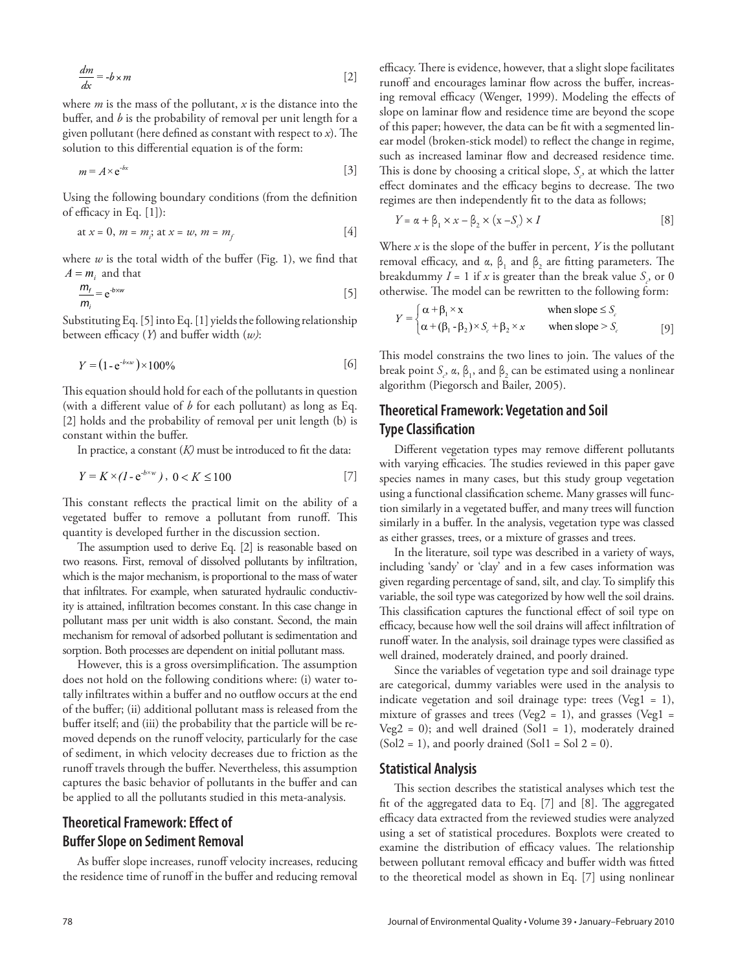$$
\frac{dm}{dx} = -b \times m \tag{2}
$$

where *m* is the mass of the pollutant, *x* is the distance into the buffer, and *b* is the probability of removal per unit length for a given pollutant (here defined as constant with respect to  $x$ ). The solution to this differential equation is of the form:

$$
m = A \times e^{-bx} \tag{3}
$$

Using the following boundary conditions (from the definition of efficacy in Eq.  $[1]$ :

at 
$$
x = 0
$$
,  $m = m_i$ ; at  $x = w$ ,  $m = m_f$  [4]

where  $w$  is the total width of the buffer (Fig. 1), we find that  $A = m_i$  and that

$$
\frac{m_i}{m_i} = e^{-b \times w} \tag{5}
$$

Substituting Eq. [5] into Eq. [1] yields the following relationship between efficacy  $(Y)$  and buffer width  $(w)$ :

$$
Y = (1 - e^{-b \times w}) \times 100\%
$$
 [6]

This equation should hold for each of the pollutants in question (with a different value of  $b$  for each pollutant) as long as Eq. [2] holds and the probability of removal per unit length (b) is constant within the buffer.

In practice, a constant  $(K)$  must be introduced to fit the data:

$$
Y = K \times (1 - e^{-b \times w}), \ 0 < K \le 100 \tag{7}
$$

This constant reflects the practical limit on the ability of a vegetated buffer to remove a pollutant from runoff. This quantity is developed further in the discussion section.

The assumption used to derive Eq. [2] is reasonable based on two reasons. First, removal of dissolved pollutants by infiltration, which is the major mechanism, is proportional to the mass of water that infiltrates. For example, when saturated hydraulic conductivity is attained, infiltration becomes constant. In this case change in pollutant mass per unit width is also constant. Second, the main mechanism for removal of adsorbed pollutant is sedimentation and sorption. Both processes are dependent on initial pollutant mass.

However, this is a gross oversimplification. The assumption does not hold on the following conditions where: (i) water totally infiltrates within a buffer and no outflow occurs at the end of the buffer; (ii) additional pollutant mass is released from the buffer itself; and (iii) the probability that the particle will be removed depends on the runoff velocity, particularly for the case of sediment, in which velocity decreases due to friction as the runoff travels through the buffer. Nevertheless, this assumption captures the basic behavior of pollutants in the buffer and can be applied to all the pollutants studied in this meta-analysis.

## **Theoretical Framework: Effect of Buffer Slope on Sediment Removal**

As buffer slope increases, runoff velocity increases, reducing the residence time of runoff in the buffer and reducing removal

efficacy. There is evidence, however, that a slight slope facilitates runoff and encourages laminar flow across the buffer, increasing removal efficacy (Wenger, 1999). Modeling the effects of slope on laminar flow and residence time are beyond the scope of this paper; however, the data can be fit with a segmented linear model (broken-stick model) to reflect the change in regime, such as increased laminar flow and decreased residence time. This is done by choosing a critical slope,  $S<sub>e</sub>$ , at which the latter effect dominates and the efficacy begins to decrease. The two regimes are then independently fit to the data as follows;

$$
Y = \alpha + \beta_1 \times x - \beta_2 \times (x - S) \times I
$$
 [8]

Where  $x$  is the slope of the buffer in percent,  $Y$  is the pollutant removal efficacy, and  $\alpha$ ,  $\beta_1$  and  $\beta_2$  are fitting parameters. The breakdummy  $I = 1$  if  $x$  is greater than the break value  $S<sub>e</sub>$ , or 0 otherwise. The model can be rewritten to the following form:

$$
Y = \begin{cases} \alpha + \beta_1 \times x & \text{when slope} \le S_c \\ \alpha + (\beta_1 - \beta_2) \times S_c + \beta_2 \times x & \text{when slope} > S_c \end{cases}
$$
 [9]

This model constrains the two lines to join. The values of the break point  $S_c$ ,  $\alpha$ ,  $\beta_1$ , and  $\beta_2$  can be estimated using a nonlinear algorithm (Piegorsch and Bailer, 2005).

## **Theoretical Framework: Vegetation and Soil Type Classification**

Different vegetation types may remove different pollutants with varying efficacies. The studies reviewed in this paper gave species names in many cases, but this study group vegetation using a functional classification scheme. Many grasses will function similarly in a vegetated buffer, and many trees will function similarly in a buffer. In the analysis, vegetation type was classed as either grasses, trees, or a mixture of grasses and trees.

In the literature, soil type was described in a variety of ways, including 'sandy' or 'clay' and in a few cases information was given regarding percentage of sand, silt, and clay. To simplify this variable, the soil type was categorized by how well the soil drains. This classification captures the functional effect of soil type on efficacy, because how well the soil drains will affect infiltration of runoff water. In the analysis, soil drainage types were classified as well drained, moderately drained, and poorly drained.

Since the variables of vegetation type and soil drainage type are categorical, dummy variables were used in the analysis to indicate vegetation and soil drainage type: trees (Veg1 = 1), mixture of grasses and trees (Veg2 = 1), and grasses (Veg1 = Veg2 = 0); and well drained (Sol1 = 1), moderately drained  $(Sol2 = 1)$ , and poorly drained  $(Sol1 = Sol 2 = 0)$ .

#### **Statistical Analysis**

This section describes the statistical analyses which test the fit of the aggregated data to Eq. [7] and [8]. The aggregated efficacy data extracted from the reviewed studies were analyzed using a set of statistical procedures. Boxplots were created to examine the distribution of efficacy values. The relationship between pollutant removal efficacy and buffer width was fitted to the theoretical model as shown in Eq. [7] using nonlinear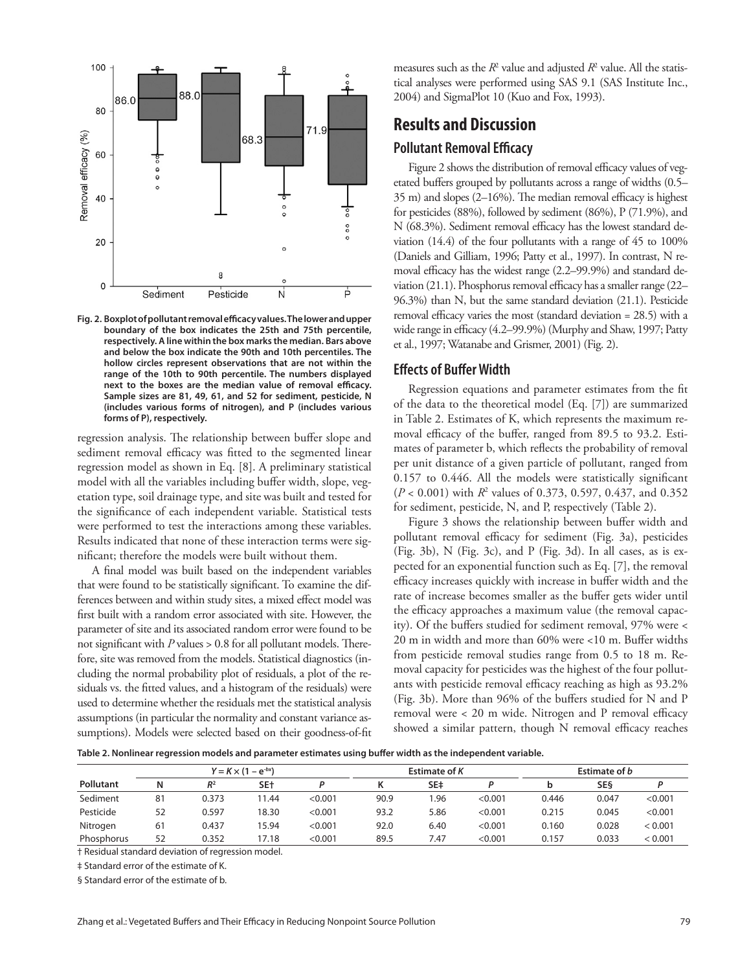

Fig. 2. Boxplot of pollutant removal efficacy values. The lower and upper **boundary of the box indicates the 25th and 75th percentile, respectively. A line within the box marks the median. Bars above and below the box indicate the 90th and 10th percentiles. The hollow circles represent observations that are not within the range of the 10th to 90th percentile. The numbers displayed**  next to the boxes are the median value of removal efficacy. **Sample sizes are 81, 49, 61, and 52 for sediment, pesticide, N (includes various forms of nitrogen), and P (includes various forms of P), respectively.**

regression analysis. The relationship between buffer slope and sediment removal efficacy was fitted to the segmented linear regression model as shown in Eq. [8]. A preliminary statistical model with all the variables including buffer width, slope, vegetation type, soil drainage type, and site was built and tested for the significance of each independent variable. Statistical tests were performed to test the interactions among these variables. Results indicated that none of these interaction terms were significant; therefore the models were built without them.

A final model was built based on the independent variables that were found to be statistically significant. To examine the differences between and within study sites, a mixed effect model was first built with a random error associated with site. However, the parameter of site and its associated random error were found to be not significant with  $P$  values  $> 0.8$  for all pollutant models. Therefore, site was removed from the models. Statistical diagnostics (including the normal probability plot of residuals, a plot of the residuals vs. the fitted values, and a histogram of the residuals) were used to determine whether the residuals met the statistical analysis assumptions (in particular the normality and constant variance assumptions). Models were selected based on their goodness-of-fit measures such as the  $R^2$  value and adjusted  $R^2$  value. All the statistical analyses were performed using SAS 9.1 (SAS Institute Inc., 2004) and SigmaPlot 10 (Kuo and Fox, 1993).

## **Results and Discussion**

## **Pollutant Removal Efficacy**

Figure 2 shows the distribution of removal efficacy values of vegetated buffers grouped by pollutants across a range of widths (0.5–  $35$  m) and slopes (2-16%). The median removal efficacy is highest for pesticides (88%), followed by sediment (86%), P (71.9%), and  $N$  (68.3%). Sediment removal efficacy has the lowest standard deviation (14.4) of the four pollutants with a range of 45 to 100% (Daniels and Gilliam, 1996; Patty et al., 1997). In contrast, N removal efficacy has the widest range (2.2–99.9%) and standard deviation  $(21.1)$ . Phosphorus removal efficacy has a smaller range  $(22-$ 96.3%) than N, but the same standard deviation (21.1). Pesticide removal efficacy varies the most (standard deviation  $= 28.5$ ) with a wide range in efficacy (4.2–99.9%) (Murphy and Shaw, 1997; Patty et al., 1997; Watanabe and Grismer, 2001) (Fig. 2).

#### **Effects of Buffer Width**

Regression equations and parameter estimates from the fit of the data to the theoretical model (Eq. [7]) are summarized in Table 2. Estimates of K, which represents the maximum removal efficacy of the buffer, ranged from 89.5 to 93.2. Estimates of parameter b, which reflects the probability of removal per unit distance of a given particle of pollutant, ranged from  $0.157$  to  $0.446$ . All the models were statistically significant (*P* < 0.001) with *R*<sup>2</sup> values of 0.373, 0.597, 0.437, and 0.352 for sediment, pesticide, N, and P, respectively (Table 2).

Figure 3 shows the relationship between buffer width and pollutant removal efficacy for sediment (Fig. 3a), pesticides (Fig. 3b), N (Fig. 3c), and P (Fig. 3d). In all cases, as is expected for an exponential function such as Eq. [7], the removal efficacy increases quickly with increase in buffer width and the rate of increase becomes smaller as the buffer gets wider until the efficacy approaches a maximum value (the removal capacity). Of the buffers studied for sediment removal, 97% were < 20 m in width and more than  $60\%$  were <10 m. Buffer widths from pesticide removal studies range from 0.5 to 18 m. Removal capacity for pesticides was the highest of the four pollutants with pesticide removal efficacy reaching as high as 93.2% (Fig. 3b). More than  $96\%$  of the buffers studied for N and P removal were  $< 20$  m wide. Nitrogen and P removal efficacy showed a similar pattern, though N removal efficacy reaches

Table 2. Nonlinear regression models and parameter estimates using buffer width as the independent variable.

|            | $Y = K \times (1 - e^{-bx})$ |                |       | Estimate of K |      |      | Estimate of b |       |            |         |
|------------|------------------------------|----------------|-------|---------------|------|------|---------------|-------|------------|---------|
| Pollutant  | Ν                            | R <sup>2</sup> | SE+   |               |      | SE‡  |               |       | <b>SES</b> |         |
| Sediment   | 81                           | 0.373          | 1.44  | < 0.001       | 90.9 | 96.ا | < 0.001       | 0.446 | 0.047      | < 0.001 |
| Pesticide  | 52                           | 0.597          | 18.30 | < 0.001       | 93.2 | 5.86 | < 0.001       | 0.215 | 0.045      | < 0.001 |
| Nitrogen   | 61                           | 0.437          | 15.94 | < 0.001       | 92.0 | 6.40 | < 0.001       | 0.160 | 0.028      | < 0.001 |
| Phosphorus | 52                           | 0.352          | 17.18 | < 0.001       | 89.5 | 7.47 | < 0.001       | 0.157 | 0.033      | < 0.001 |

† Residual standard deviation of regression model.

‡ Standard error of the estimate of K.

§ Standard error of the estimate of b.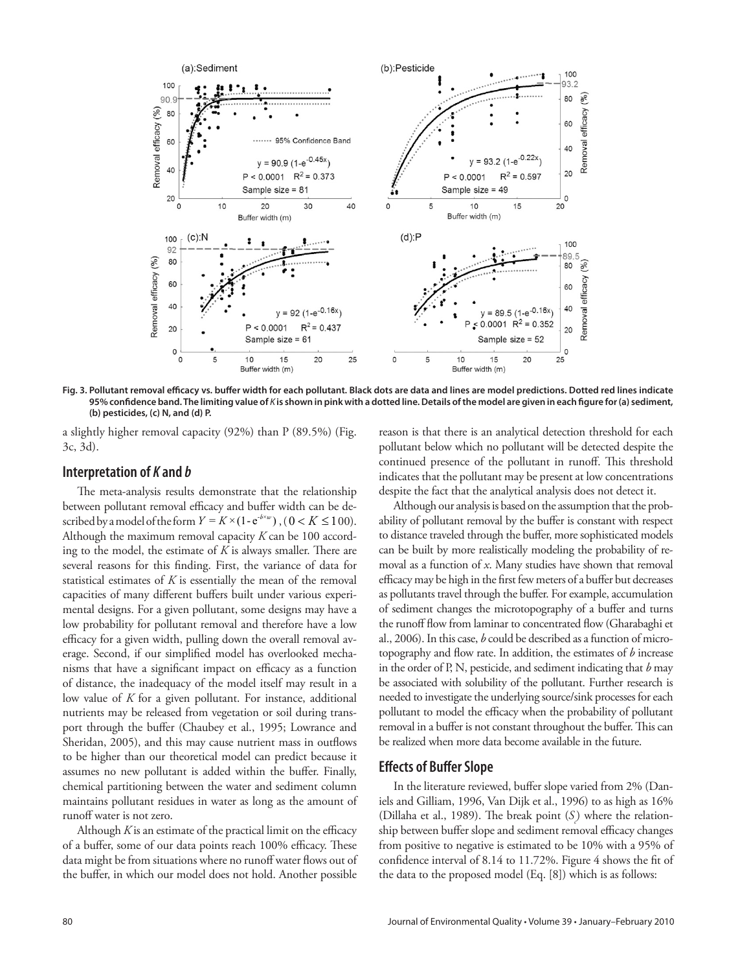

Fig. 3. Pollutant removal efficacy vs. buffer width for each pollutant. Black dots are data and lines are model predictions. Dotted red lines indicate 95% confidence band. The limiting value of *K* is shown in pink with a dotted line. Details of the model are given in each figure for (a) sediment, **(b) pesticides, (c) N, and (d) P.**

a slightly higher removal capacity (92%) than P (89.5%) (Fig. 3c, 3d).

#### **Interpretation of** *K* **and** *b*

The meta-analysis results demonstrate that the relationship between pollutant removal efficacy and buffer width can be described by a model of the form  $Y = K \times (1 - e^{-b \times w})$ ,  $(0 < K \le 100)$ . Although the maximum removal capacity *K* can be 100 according to the model, the estimate of  $K$  is always smaller. There are several reasons for this finding. First, the variance of data for statistical estimates of *K* is essentially the mean of the removal capacities of many different buffers built under various experimental designs. For a given pollutant, some designs may have a low probability for pollutant removal and therefore have a low efficacy for a given width, pulling down the overall removal average. Second, if our simplified model has overlooked mechanisms that have a significant impact on efficacy as a function of distance, the inadequacy of the model itself may result in a low value of *K* for a given pollutant. For instance, additional nutrients may be released from vegetation or soil during transport through the buffer (Chaubey et al., 1995; Lowrance and Sheridan, 2005), and this may cause nutrient mass in outflows to be higher than our theoretical model can predict because it assumes no new pollutant is added within the buffer. Finally, chemical partitioning between the water and sediment column maintains pollutant residues in water as long as the amount of runoff water is not zero.

Although  $K$  is an estimate of the practical limit on the efficacy of a buffer, some of our data points reach 100% efficacy. These data might be from situations where no runoff water flows out of the buffer, in which our model does not hold. Another possible

reason is that there is an analytical detection threshold for each pollutant below which no pollutant will be detected despite the continued presence of the pollutant in runoff. This threshold indicates that the pollutant may be present at low concentrations despite the fact that the analytical analysis does not detect it.

Although our analysis is based on the assumption that the probability of pollutant removal by the buffer is constant with respect to distance traveled through the buffer, more sophisticated models can be built by more realistically modeling the probability of removal as a function of *x*. Many studies have shown that removal efficacy may be high in the first few meters of a buffer but decreases as pollutants travel through the buffer. For example, accumulation of sediment changes the microtopography of a buffer and turns the runoff flow from laminar to concentrated flow (Gharabaghi et al., 2006). In this case, *b* could be described as a function of microtopography and flow rate. In addition, the estimates of *b* increase in the order of P, N, pesticide, and sediment indicating that *b* may be associated with solubility of the pollutant. Further research is needed to investigate the underlying source/sink processes for each pollutant to model the efficacy when the probability of pollutant removal in a buffer is not constant throughout the buffer. This can be realized when more data become available in the future.

#### **Effects of Buffer Slope**

In the literature reviewed, buffer slope varied from 2% (Daniels and Gilliam, 1996, Van Dijk et al., 1996) to as high as 16% (Dillaha et al., 1989). The break point  $(S)$  where the relationship between buffer slope and sediment removal efficacy changes from positive to negative is estimated to be 10% with a 95% of confidence interval of 8.14 to 11.72%. Figure 4 shows the fit of the data to the proposed model (Eq. [8]) which is as follows: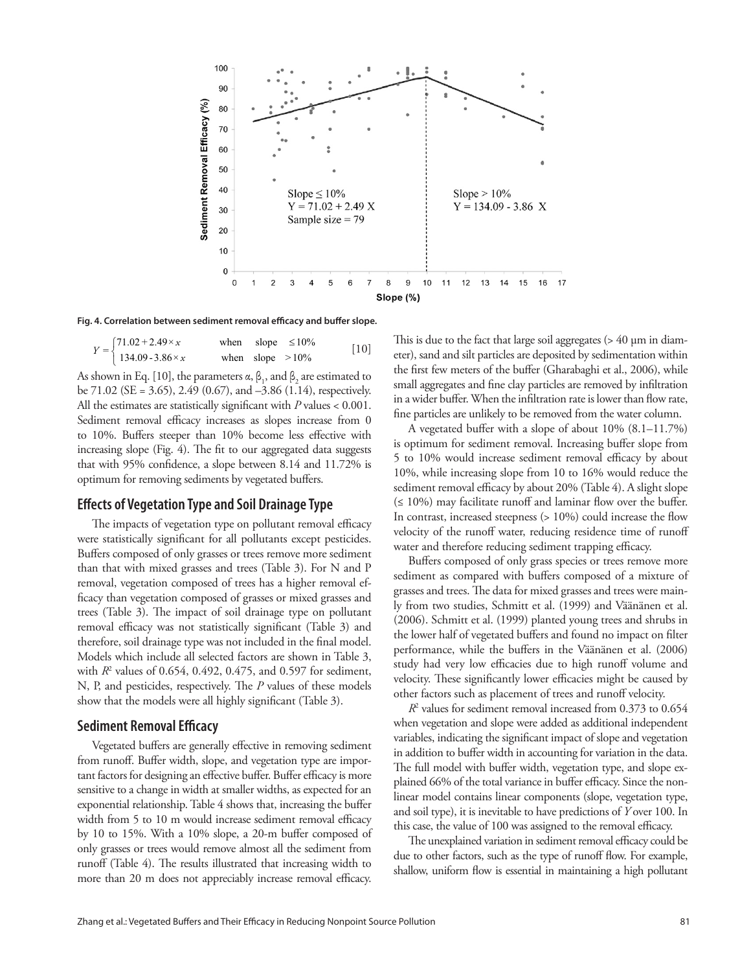

Fig. 4. Correlation between sediment removal efficacy and buffer slope.

|                                                                                 |                    | when slope $\leq 10\%$ | $[10]$ |
|---------------------------------------------------------------------------------|--------------------|------------------------|--------|
| $Y = \begin{cases} 71.02 + 2.49 \times x \\ 134.09 - 3.86 \times x \end{cases}$ | when slope $>10\%$ |                        |        |

As shown in Eq. [10], the parameters  $\alpha$ ,  $\beta_1$ , and  $\beta_2$  are estimated to be 71.02 (SE = 3.65), 2.49 (0.67), and –3.86 (1.14), respectively. All the estimates are statistically significant with  $P$  values  $< 0.001$ . Sediment removal efficacy increases as slopes increase from 0 to 10%. Buffers steeper than 10% become less effective with increasing slope (Fig. 4). The fit to our aggregated data suggests that with 95% confidence, a slope between 8.14 and 11.72% is optimum for removing sediments by vegetated buffers.

#### **Eff ects of Vegetation Type and Soil Drainage Type**

The impacts of vegetation type on pollutant removal efficacy were statistically significant for all pollutants except pesticides. Buffers composed of only grasses or trees remove more sediment than that with mixed grasses and trees (Table 3). For N and P removal, vegetation composed of trees has a higher removal efficacy than vegetation composed of grasses or mixed grasses and trees (Table 3). The impact of soil drainage type on pollutant removal efficacy was not statistically significant (Table 3) and therefore, soil drainage type was not included in the final model. Models which include all selected factors are shown in Table 3, with  $R^2$  values of 0.654, 0.492, 0.475, and 0.597 for sediment, N, P, and pesticides, respectively. The P values of these models show that the models were all highly significant (Table 3).

#### **Sediment Removal Efficacy**

Vegetated buffers are generally effective in removing sediment from runoff. Buffer width, slope, and vegetation type are important factors for designing an effective buffer. Buffer efficacy is more sensitive to a change in width at smaller widths, as expected for an exponential relationship. Table 4 shows that, increasing the buffer width from 5 to 10 m would increase sediment removal efficacy by 10 to 15%. With a 10% slope, a 20-m buffer composed of only grasses or trees would remove almost all the sediment from runoff (Table 4). The results illustrated that increasing width to more than 20 m does not appreciably increase removal efficacy.

This is due to the fact that large soil aggregates  $($  > 40  $\mu$ m in diameter), sand and silt particles are deposited by sedimentation within the first few meters of the buffer (Gharabaghi et al., 2006), while small aggregates and fine clay particles are removed by infiltration in a wider buffer. When the infiltration rate is lower than flow rate, fine particles are unlikely to be removed from the water column.

A vegetated buffer with a slope of about  $10\%$  (8.1–11.7%) is optimum for sediment removal. Increasing buffer slope from 5 to 10% would increase sediment removal efficacy by about 10%, while increasing slope from 10 to 16% would reduce the sediment removal efficacy by about 20% (Table 4). A slight slope  $( \leq 10\%)$  may facilitate runoff and laminar flow over the buffer. In contrast, increased steepness  $(> 10\%)$  could increase the flow velocity of the runoff water, reducing residence time of runoff water and therefore reducing sediment trapping efficacy.

Buffers composed of only grass species or trees remove more sediment as compared with buffers composed of a mixture of grasses and trees. The data for mixed grasses and trees were mainly from two studies, Schmitt et al. (1999) and Väänänen et al. (2006). Schmitt et al. (1999) planted young trees and shrubs in the lower half of vegetated buffers and found no impact on filter performance, while the buffers in the Väänänen et al. (2006) study had very low efficacies due to high runoff volume and velocity. These significantly lower efficacies might be caused by other factors such as placement of trees and runoff velocity.

*R*2 values for sediment removal increased from 0.373 to 0.654 when vegetation and slope were added as additional independent variables, indicating the significant impact of slope and vegetation in addition to buffer width in accounting for variation in the data. The full model with buffer width, vegetation type, and slope explained 66% of the total variance in buffer efficacy. Since the nonlinear model contains linear components (slope, vegetation type, and soil type), it is inevitable to have predictions of *Y* over 100. In this case, the value of 100 was assigned to the removal efficacy.

The unexplained variation in sediment removal efficacy could be due to other factors, such as the type of runoff flow. For example, shallow, uniform flow is essential in maintaining a high pollutant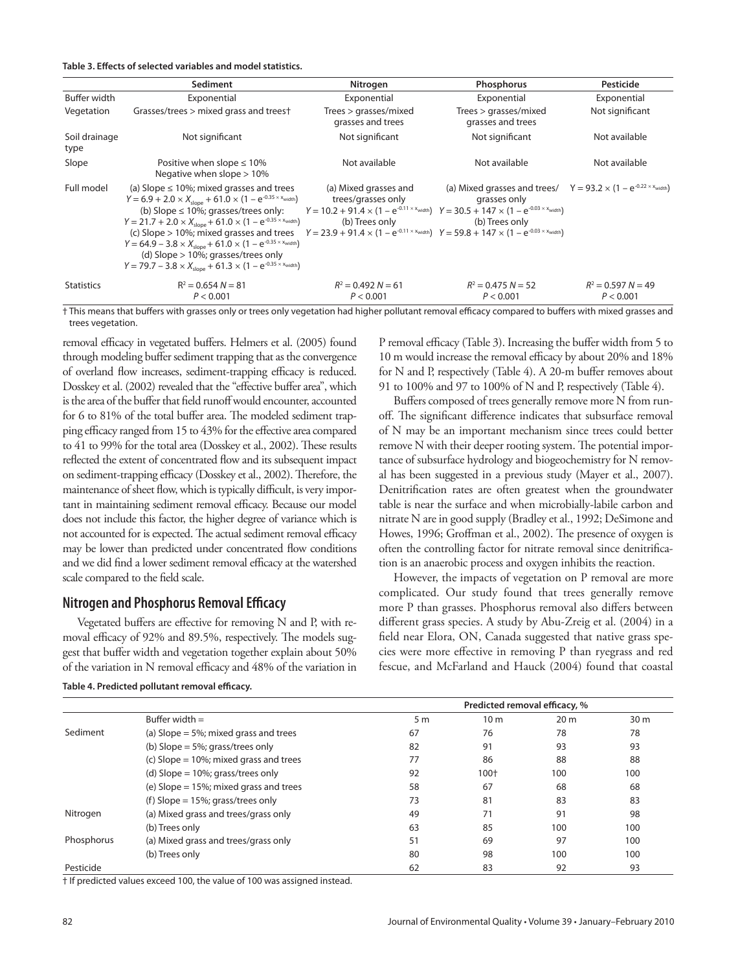Table 3. Effects of selected variables and model statistics.

|                       | Sediment                                                                                                                                                                                                                                                                                                                                                                                                                                                                                                                                                             | Nitrogen                                                                                                                                                                                                                                                                                                  | Phosphorus                                                                                                        | Pesticide                         |
|-----------------------|----------------------------------------------------------------------------------------------------------------------------------------------------------------------------------------------------------------------------------------------------------------------------------------------------------------------------------------------------------------------------------------------------------------------------------------------------------------------------------------------------------------------------------------------------------------------|-----------------------------------------------------------------------------------------------------------------------------------------------------------------------------------------------------------------------------------------------------------------------------------------------------------|-------------------------------------------------------------------------------------------------------------------|-----------------------------------|
| Buffer width          | Exponential                                                                                                                                                                                                                                                                                                                                                                                                                                                                                                                                                          | Exponential                                                                                                                                                                                                                                                                                               | Exponential                                                                                                       | Exponential                       |
| Vegetation            | Grasses/trees > mixed grass and treest                                                                                                                                                                                                                                                                                                                                                                                                                                                                                                                               | Trees > grasses/mixed<br>grasses and trees                                                                                                                                                                                                                                                                | Trees > grasses/mixed<br>grasses and trees                                                                        | Not significant                   |
| Soil drainage<br>type | Not significant                                                                                                                                                                                                                                                                                                                                                                                                                                                                                                                                                      | Not significant                                                                                                                                                                                                                                                                                           | Not significant                                                                                                   | Not available                     |
| Slope                 | Positive when slope $\leq 10\%$<br>Negative when slope $> 10\%$                                                                                                                                                                                                                                                                                                                                                                                                                                                                                                      | Not available                                                                                                                                                                                                                                                                                             | Not available                                                                                                     | Not available                     |
| Full model            | (a) Slope $\leq 10\%$ ; mixed grasses and trees<br>$Y = 6.9 + 2.0 \times X_{slope} + 61.0 \times (1 - e^{-0.35 \times x_{width}})$<br>(b) Slope $\leq 10\%$ ; grasses/trees only:<br>$Y = 21.7 + 2.0 \times X_{\text{slope}} + 61.0 \times (1 - e^{-0.35 \times x_{\text{width}}})$<br>(c) Slope $> 10\%$ ; mixed grasses and trees<br>$Y = 64.9 - 3.8 \times X_{\text{slope}} + 61.0 \times (1 - e^{-0.35 \times x_{\text{width}}})$<br>(d) Slope $> 10\%$ ; grasses/trees only<br>$Y = 79.7 - 3.8 \times X_{slope} + 61.3 \times (1 - e^{-0.35 \times x_{width}})$ | (a) Mixed grasses and<br>trees/grasses only<br>$Y = 10.2 + 91.4 \times (1 - e^{-0.11 \times x_{width}})$ $Y = 30.5 + 147 \times (1 - e^{-0.03 \times x_{width}})$<br>(b) Trees only<br>$Y = 23.9 + 91.4 \times (1 - e^{-0.11 \times x_{width}})$ $Y = 59.8 + 147 \times (1 - e^{-0.03 \times x_{width}})$ | (a) Mixed grasses and trees/ $Y = 93.2 \times (1 - e^{-0.22 \times x_{width}})$<br>grasses only<br>(b) Trees only |                                   |
| <b>Statistics</b>     | $R^2 = 0.654 N = 81$<br>P < 0.001                                                                                                                                                                                                                                                                                                                                                                                                                                                                                                                                    | $R^2 = 0.492 N = 61$<br>P < 0.001                                                                                                                                                                                                                                                                         | $R^2 = 0.475 N = 52$<br>P < 0.001                                                                                 | $R^2 = 0.597 N = 49$<br>P < 0.001 |

<sup>†</sup> This means that buffers with grasses only or trees only vegetation had higher pollutant removal efficacy compared to buffers with mixed grasses and trees vegetation.

removal efficacy in vegetated buffers. Helmers et al. (2005) found through modeling buffer sediment trapping that as the convergence of overland flow increases, sediment-trapping efficacy is reduced. Dosskey et al. (2002) revealed that the "effective buffer area", which is the area of the buffer that field runoff would encounter, accounted for 6 to 81% of the total buffer area. The modeled sediment trapping efficacy ranged from 15 to 43% for the effective area compared to 41 to 99% for the total area (Dosskey et al., 2002). These results reflected the extent of concentrated flow and its subsequent impact on sediment-trapping efficacy (Dosskey et al., 2002). Therefore, the maintenance of sheet flow, which is typically difficult, is very important in maintaining sediment removal efficacy. Because our model does not include this factor, the higher degree of variance which is not accounted for is expected. The actual sediment removal efficacy may be lower than predicted under concentrated flow conditions and we did find a lower sediment removal efficacy at the watershed scale compared to the field scale.

#### **Nitrogen and Phosphorus Removal Efficacy**

Vegetated buffers are effective for removing  $N$  and  $P$ , with removal efficacy of 92% and 89.5%, respectively. The models suggest that buffer width and vegetation together explain about 50% of the variation in  $N$  removal efficacy and  $48\%$  of the variation in

#### Table 4. Predicted pollutant removal efficacy.

P removal efficacy (Table 3). Increasing the buffer width from 5 to 10 m would increase the removal efficacy by about 20% and 18% for N and P, respectively (Table 4). A 20-m buffer removes about 91 to 100% and 97 to 100% of N and P, respectively (Table 4).

Buffers composed of trees generally remove more N from runoff. The significant difference indicates that subsurface removal of N may be an important mechanism since trees could better remove N with their deeper rooting system. The potential importance of subsurface hydrology and biogeochemistry for N removal has been suggested in a previous study (Mayer et al., 2007). Denitrification rates are often greatest when the groundwater table is near the surface and when microbially-labile carbon and nitrate N are in good supply (Bradley et al., 1992; DeSimone and Howes, 1996; Groffman et al., 2002). The presence of oxygen is often the controlling factor for nitrate removal since denitrification is an anaerobic process and oxygen inhibits the reaction.

However, the impacts of vegetation on P removal are more complicated. Our study found that trees generally remove more P than grasses. Phosphorus removal also differs between different grass species. A study by Abu-Zreig et al. (2004) in a field near Elora, ON, Canada suggested that native grass species were more effective in removing P than ryegrass and red fescue, and McFarland and Hauck (2004) found that coastal

|            |                                            | Predicted removal efficacy, % |                 |                 |                 |  |
|------------|--------------------------------------------|-------------------------------|-----------------|-----------------|-----------------|--|
|            | Buffer width $=$                           | 5 <sub>m</sub>                | 10 <sub>m</sub> | 20 <sub>m</sub> | 30 <sub>m</sub> |  |
| Sediment   | (a) Slope $=$ 5%; mixed grass and trees    | 67                            | 76              | 78              | 78              |  |
|            | (b) Slope = $5\%$ ; grass/trees only       | 82                            | 91              | 93              | 93              |  |
|            | (c) Slope = $10\%$ ; mixed grass and trees | 77                            | 86              | 88              | 88              |  |
|            | (d) Slope = $10\%$ ; grass/trees only      | 92                            | 100+            | 100             | 100             |  |
|            | (e) Slope $= 15\%$ ; mixed grass and trees | 58                            | 67              | 68              | 68              |  |
|            | (f) Slope = $15\%$ ; grass/trees only      | 73                            | 81              | 83              | 83              |  |
| Nitrogen   | (a) Mixed grass and trees/grass only       | 49                            | 71              | 91              | 98              |  |
|            | (b) Trees only                             | 63                            | 85              | 100             | 100             |  |
| Phosphorus | (a) Mixed grass and trees/grass only       | 51                            | 69              | 97              | 100             |  |
|            | (b) Trees only                             | 80                            | 98              | 100             | 100             |  |
| Pesticide  |                                            | 62                            | 83              | 92              | 93              |  |

† If predicted values exceed 100, the value of 100 was assigned instead.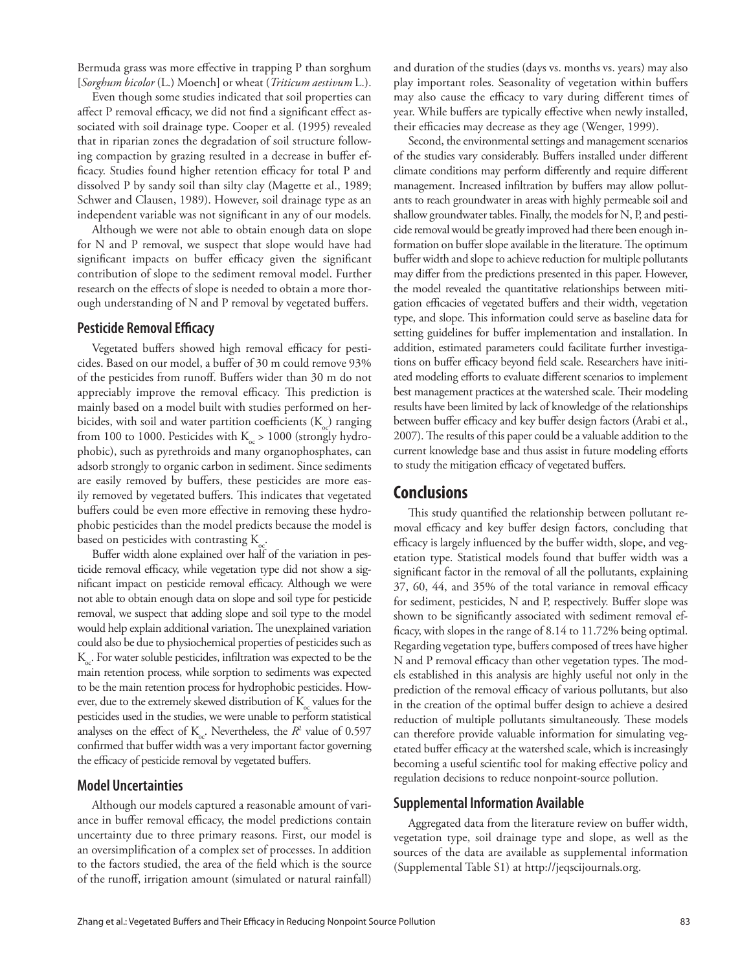Bermuda grass was more effective in trapping P than sorghum [*Sorghum bicolor* (L.) Moench] or wheat (*Triticum aestivum* L.).

Even though some studies indicated that soil properties can affect P removal efficacy, we did not find a significant effect associated with soil drainage type. Cooper et al. (1995) revealed that in riparian zones the degradation of soil structure following compaction by grazing resulted in a decrease in buffer efficacy. Studies found higher retention efficacy for total P and dissolved P by sandy soil than silty clay (Magette et al., 1989; Schwer and Clausen, 1989). However, soil drainage type as an independent variable was not significant in any of our models.

Although we were not able to obtain enough data on slope for N and P removal, we suspect that slope would have had significant impacts on buffer efficacy given the significant contribution of slope to the sediment removal model. Further research on the effects of slope is needed to obtain a more thorough understanding of  $N$  and  $P$  removal by vegetated buffers.

#### **Pesticide Removal Efficacy**

Vegetated buffers showed high removal efficacy for pesticides. Based on our model, a buffer of 30 m could remove 93% of the pesticides from runoff. Buffers wider than 30 m do not appreciably improve the removal efficacy. This prediction is mainly based on a model built with studies performed on herbicides, with soil and water partition coefficients  $(K<sub>c</sub>)$  ranging from 100 to 1000. Pesticides with  $K_{\sim} > 1000$  (strongly hydrophobic), such as pyrethroids and many organophosphates, can adsorb strongly to organic carbon in sediment. Since sediments are easily removed by buffers, these pesticides are more easily removed by vegetated buffers. This indicates that vegetated buffers could be even more effective in removing these hydrophobic pesticides than the model predicts because the model is based on pesticides with contrasting  $K_c$ .

Buffer width alone explained over half of the variation in pesticide removal efficacy, while vegetation type did not show a significant impact on pesticide removal efficacy. Although we were not able to obtain enough data on slope and soil type for pesticide removal, we suspect that adding slope and soil type to the model would help explain additional variation. The unexplained variation could also be due to physiochemical properties of pesticides such as K<sub>o</sub>. For water soluble pesticides, infiltration was expected to be the main retention process, while sorption to sediments was expected to be the main retention process for hydrophobic pesticides. However, due to the extremely skewed distribution of  $K_{\sim}$  values for the pesticides used in the studies, we were unable to perform statistical analyses on the effect of  $K_{\infty}$ . Nevertheless, the  $R^2$  value of 0.597 confirmed that buffer width was a very important factor governing the efficacy of pesticide removal by vegetated buffers.

### **Model Uncertainties**

Although our models captured a reasonable amount of variance in buffer removal efficacy, the model predictions contain uncertainty due to three primary reasons. First, our model is an oversimplification of a complex set of processes. In addition to the factors studied, the area of the field which is the source of the runoff, irrigation amount (simulated or natural rainfall) and duration of the studies (days vs. months vs. years) may also play important roles. Seasonality of vegetation within buffers may also cause the efficacy to vary during different times of year. While buffers are typically effective when newly installed, their efficacies may decrease as they age (Wenger, 1999).

Second, the environmental settings and management scenarios of the studies vary considerably. Buffers installed under different climate conditions may perform differently and require different management. Increased infiltration by buffers may allow pollutants to reach groundwater in areas with highly permeable soil and shallow groundwater tables. Finally, the models for N, P, and pesticide removal would be greatly improved had there been enough information on buffer slope available in the literature. The optimum buffer width and slope to achieve reduction for multiple pollutants may differ from the predictions presented in this paper. However, the model revealed the quantitative relationships between mitigation efficacies of vegetated buffers and their width, vegetation type, and slope. This information could serve as baseline data for setting guidelines for buffer implementation and installation. In addition, estimated parameters could facilitate further investigations on buffer efficacy beyond field scale. Researchers have initiated modeling efforts to evaluate different scenarios to implement best management practices at the watershed scale. Their modeling results have been limited by lack of knowledge of the relationships between buffer efficacy and key buffer design factors (Arabi et al., 2007). The results of this paper could be a valuable addition to the current knowledge base and thus assist in future modeling efforts to study the mitigation efficacy of vegetated buffers.

## **Conclusions**

This study quantified the relationship between pollutant removal efficacy and key buffer design factors, concluding that efficacy is largely influenced by the buffer width, slope, and vegetation type. Statistical models found that buffer width was a significant factor in the removal of all the pollutants, explaining 37, 60, 44, and 35% of the total variance in removal efficacy for sediment, pesticides, N and P, respectively. Buffer slope was shown to be significantly associated with sediment removal efficacy, with slopes in the range of  $8.14$  to  $11.72\%$  being optimal. Regarding vegetation type, buffers composed of trees have higher N and P removal efficacy than other vegetation types. The models established in this analysis are highly useful not only in the prediction of the removal efficacy of various pollutants, but also in the creation of the optimal buffer design to achieve a desired reduction of multiple pollutants simultaneously. These models can therefore provide valuable information for simulating vegetated buffer efficacy at the watershed scale, which is increasingly becoming a useful scientific tool for making effective policy and regulation decisions to reduce nonpoint-source pollution.

#### **Supplemental Information Available**

Aggregated data from the literature review on buffer width, vegetation type, soil drainage type and slope, as well as the sources of the data are available as supplemental information (Supplemental Table S1) at http://jeqscijournals.org.